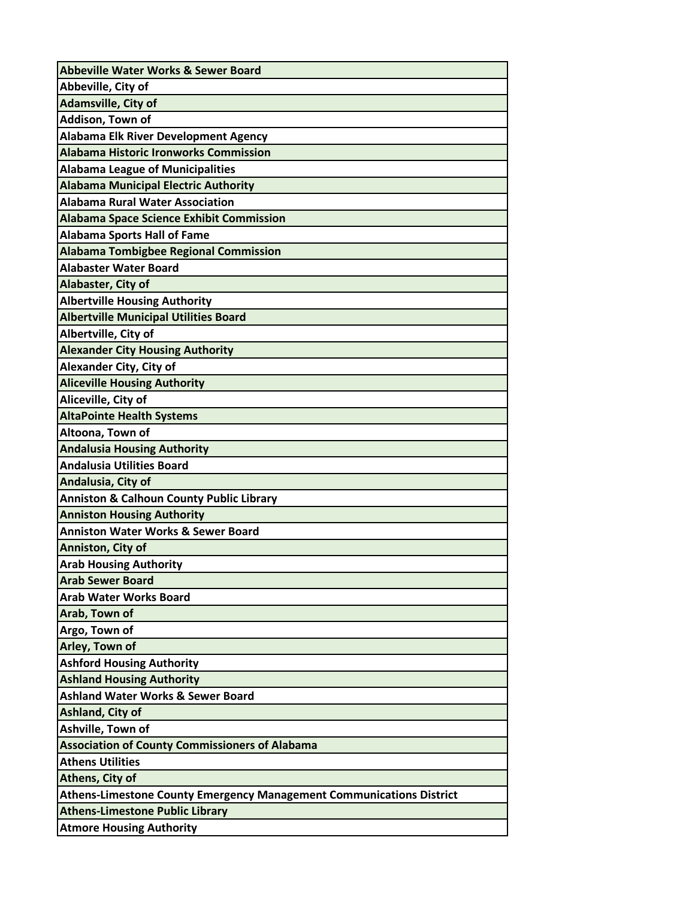| <b>Abbeville Water Works &amp; Sewer Board</b>                              |
|-----------------------------------------------------------------------------|
| Abbeville, City of                                                          |
| <b>Adamsville, City of</b>                                                  |
| Addison, Town of                                                            |
| <b>Alabama Elk River Development Agency</b>                                 |
| <b>Alabama Historic Ironworks Commission</b>                                |
| <b>Alabama League of Municipalities</b>                                     |
| <b>Alabama Municipal Electric Authority</b>                                 |
| <b>Alabama Rural Water Association</b>                                      |
| <b>Alabama Space Science Exhibit Commission</b>                             |
| <b>Alabama Sports Hall of Fame</b>                                          |
| <b>Alabama Tombigbee Regional Commission</b>                                |
| <b>Alabaster Water Board</b>                                                |
| Alabaster, City of                                                          |
| <b>Albertville Housing Authority</b>                                        |
| <b>Albertville Municipal Utilities Board</b>                                |
| Albertville, City of                                                        |
| <b>Alexander City Housing Authority</b>                                     |
| <b>Alexander City, City of</b>                                              |
| <b>Aliceville Housing Authority</b>                                         |
| Aliceville, City of                                                         |
| <b>AltaPointe Health Systems</b>                                            |
| Altoona, Town of                                                            |
| <b>Andalusia Housing Authority</b>                                          |
| <b>Andalusia Utilities Board</b>                                            |
| Andalusia, City of                                                          |
| <b>Anniston &amp; Calhoun County Public Library</b>                         |
| <b>Anniston Housing Authority</b>                                           |
| <b>Anniston Water Works &amp; Sewer Board</b>                               |
| Anniston, City of                                                           |
| <b>Arab Housing Authority</b>                                               |
| <b>Arab Sewer Board</b>                                                     |
| <b>Arab Water Works Board</b>                                               |
| Arab, Town of                                                               |
| Argo, Town of                                                               |
| Arley, Town of                                                              |
| <b>Ashford Housing Authority</b>                                            |
| <b>Ashland Housing Authority</b>                                            |
| <b>Ashland Water Works &amp; Sewer Board</b>                                |
| <b>Ashland, City of</b>                                                     |
| Ashville, Town of                                                           |
| <b>Association of County Commissioners of Alabama</b>                       |
| <b>Athens Utilities</b>                                                     |
| Athens, City of                                                             |
| <b>Athens-Limestone County Emergency Management Communications District</b> |
| <b>Athens-Limestone Public Library</b>                                      |
| <b>Atmore Housing Authority</b>                                             |
|                                                                             |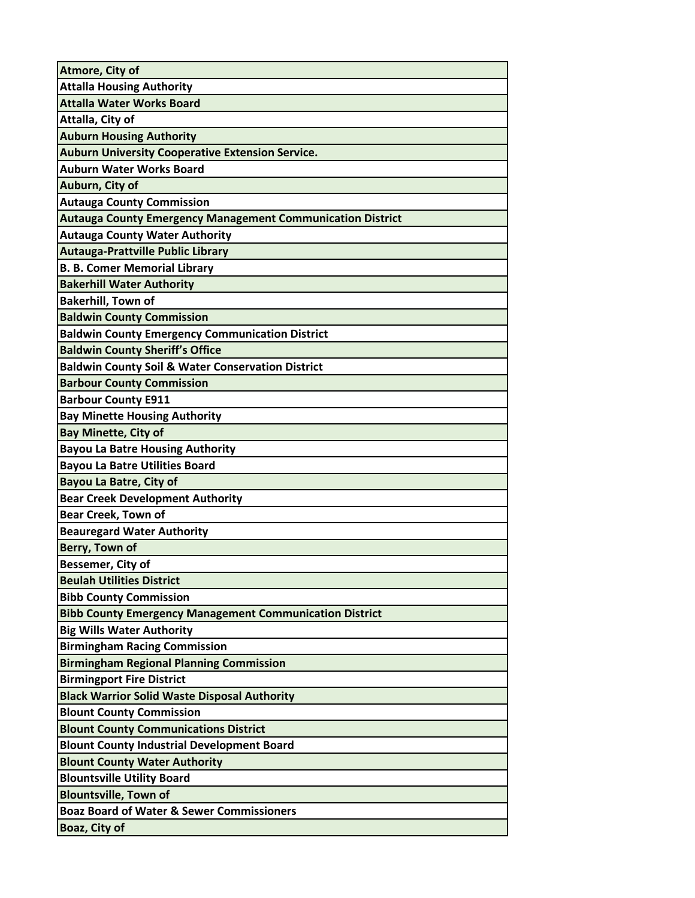| Atmore, City of                                                   |
|-------------------------------------------------------------------|
| <b>Attalla Housing Authority</b>                                  |
| <b>Attalla Water Works Board</b>                                  |
| Attalla, City of                                                  |
| <b>Auburn Housing Authority</b>                                   |
| <b>Auburn University Cooperative Extension Service.</b>           |
| <b>Auburn Water Works Board</b>                                   |
| Auburn, City of                                                   |
| <b>Autauga County Commission</b>                                  |
| <b>Autauga County Emergency Management Communication District</b> |
| <b>Autauga County Water Authority</b>                             |
| <b>Autauga-Prattville Public Library</b>                          |
| <b>B. B. Comer Memorial Library</b>                               |
| <b>Bakerhill Water Authority</b>                                  |
| <b>Bakerhill, Town of</b>                                         |
| <b>Baldwin County Commission</b>                                  |
| <b>Baldwin County Emergency Communication District</b>            |
| <b>Baldwin County Sheriff's Office</b>                            |
| <b>Baldwin County Soil &amp; Water Conservation District</b>      |
| <b>Barbour County Commission</b>                                  |
| <b>Barbour County E911</b>                                        |
| <b>Bay Minette Housing Authority</b>                              |
| <b>Bay Minette, City of</b>                                       |
| <b>Bayou La Batre Housing Authority</b>                           |
| <b>Bayou La Batre Utilities Board</b>                             |
| <b>Bayou La Batre, City of</b>                                    |
| <b>Bear Creek Development Authority</b>                           |
| <b>Bear Creek, Town of</b>                                        |
| <b>Beauregard Water Authority</b>                                 |
| Berry, Town of                                                    |
| Bessemer, City of                                                 |
| <b>Beulah Utilities District</b>                                  |
| <b>Bibb County Commission</b>                                     |
| <b>Bibb County Emergency Management Communication District</b>    |
| <b>Big Wills Water Authority</b>                                  |
| <b>Birmingham Racing Commission</b>                               |
| <b>Birmingham Regional Planning Commission</b>                    |
| <b>Birmingport Fire District</b>                                  |
| <b>Black Warrior Solid Waste Disposal Authority</b>               |
| <b>Blount County Commission</b>                                   |
| <b>Blount County Communications District</b>                      |
| <b>Blount County Industrial Development Board</b>                 |
| <b>Blount County Water Authority</b>                              |
| <b>Blountsville Utility Board</b>                                 |
| <b>Blountsville, Town of</b>                                      |
| <b>Boaz Board of Water &amp; Sewer Commissioners</b>              |
| Boaz, City of                                                     |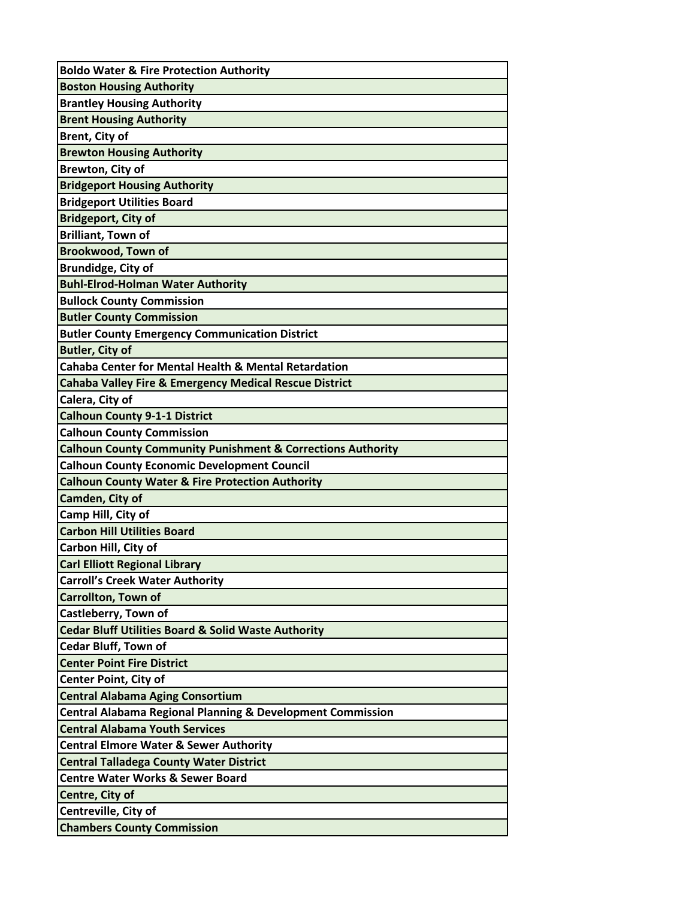| <b>Boldo Water &amp; Fire Protection Authority</b>                     |
|------------------------------------------------------------------------|
| <b>Boston Housing Authority</b>                                        |
| <b>Brantley Housing Authority</b>                                      |
| <b>Brent Housing Authority</b>                                         |
| <b>Brent, City of</b>                                                  |
| <b>Brewton Housing Authority</b>                                       |
| <b>Brewton, City of</b>                                                |
| <b>Bridgeport Housing Authority</b>                                    |
| <b>Bridgeport Utilities Board</b>                                      |
| <b>Bridgeport, City of</b>                                             |
| <b>Brilliant, Town of</b>                                              |
| <b>Brookwood, Town of</b>                                              |
| <b>Brundidge, City of</b>                                              |
| <b>Buhl-Elrod-Holman Water Authority</b>                               |
| <b>Bullock County Commission</b>                                       |
| <b>Butler County Commission</b>                                        |
| <b>Butler County Emergency Communication District</b>                  |
| <b>Butler, City of</b>                                                 |
| <b>Cahaba Center for Mental Health &amp; Mental Retardation</b>        |
| <b>Cahaba Valley Fire &amp; Emergency Medical Rescue District</b>      |
| Calera, City of                                                        |
| <b>Calhoun County 9-1-1 District</b>                                   |
| <b>Calhoun County Commission</b>                                       |
| <b>Calhoun County Community Punishment &amp; Corrections Authority</b> |
| <b>Calhoun County Economic Development Council</b>                     |
| <b>Calhoun County Water &amp; Fire Protection Authority</b>            |
| Camden, City of                                                        |
| Camp Hill, City of                                                     |
| <b>Carbon Hill Utilities Board</b>                                     |
| Carbon Hill, City of                                                   |
| <b>Carl Elliott Regional Library</b>                                   |
| <b>Carroll's Creek Water Authority</b>                                 |
| <b>Carrollton, Town of</b>                                             |
| Castleberry, Town of                                                   |
| <b>Cedar Bluff Utilities Board &amp; Solid Waste Authority</b>         |
| <b>Cedar Bluff, Town of</b>                                            |
| <b>Center Point Fire District</b>                                      |
| <b>Center Point, City of</b>                                           |
| <b>Central Alabama Aging Consortium</b>                                |
| <b>Central Alabama Regional Planning &amp; Development Commission</b>  |
| <b>Central Alabama Youth Services</b>                                  |
| <b>Central Elmore Water &amp; Sewer Authority</b>                      |
| <b>Central Talladega County Water District</b>                         |
| <b>Centre Water Works &amp; Sewer Board</b>                            |
| Centre, City of                                                        |
| Centreville, City of                                                   |
| <b>Chambers County Commission</b>                                      |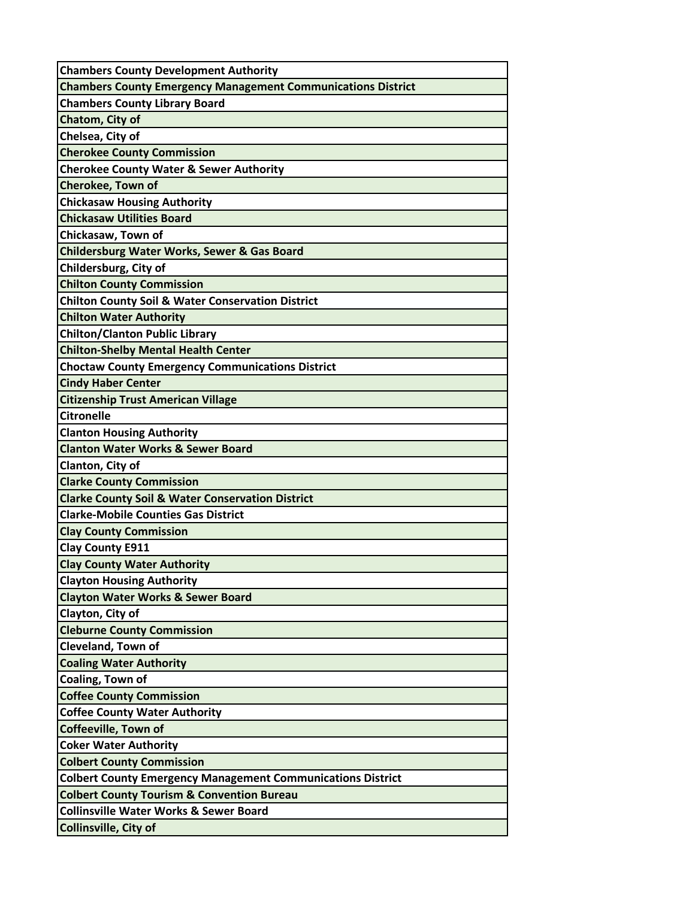| <b>Chambers County Development Authority</b>                        |
|---------------------------------------------------------------------|
| <b>Chambers County Emergency Management Communications District</b> |
| <b>Chambers County Library Board</b>                                |
| Chatom, City of                                                     |
| Chelsea, City of                                                    |
| <b>Cherokee County Commission</b>                                   |
| <b>Cherokee County Water &amp; Sewer Authority</b>                  |
| <b>Cherokee, Town of</b>                                            |
| <b>Chickasaw Housing Authority</b>                                  |
| <b>Chickasaw Utilities Board</b>                                    |
| Chickasaw, Town of                                                  |
| <b>Childersburg Water Works, Sewer &amp; Gas Board</b>              |
| Childersburg, City of                                               |
| <b>Chilton County Commission</b>                                    |
| <b>Chilton County Soil &amp; Water Conservation District</b>        |
| <b>Chilton Water Authority</b>                                      |
| <b>Chilton/Clanton Public Library</b>                               |
| <b>Chilton-Shelby Mental Health Center</b>                          |
| <b>Choctaw County Emergency Communications District</b>             |
| <b>Cindy Haber Center</b>                                           |
| <b>Citizenship Trust American Village</b>                           |
| <b>Citronelle</b>                                                   |
| <b>Clanton Housing Authority</b>                                    |
| <b>Clanton Water Works &amp; Sewer Board</b>                        |
| Clanton, City of                                                    |
| <b>Clarke County Commission</b>                                     |
| <b>Clarke County Soil &amp; Water Conservation District</b>         |
| <b>Clarke-Mobile Counties Gas District</b>                          |
| <b>Clay County Commission</b>                                       |
| <b>Clay County E911</b>                                             |
| <b>Clay County Water Authority</b>                                  |
| <b>Clayton Housing Authority</b>                                    |
| <b>Clayton Water Works &amp; Sewer Board</b>                        |
| Clayton, City of                                                    |
| <b>Cleburne County Commission</b>                                   |
| <b>Cleveland, Town of</b>                                           |
| <b>Coaling Water Authority</b>                                      |
| Coaling, Town of                                                    |
| <b>Coffee County Commission</b>                                     |
| <b>Coffee County Water Authority</b>                                |
| <b>Coffeeville, Town of</b>                                         |
| <b>Coker Water Authority</b>                                        |
| <b>Colbert County Commission</b>                                    |
| <b>Colbert County Emergency Management Communications District</b>  |
| <b>Colbert County Tourism &amp; Convention Bureau</b>               |
| <b>Collinsville Water Works &amp; Sewer Board</b>                   |
| Collinsville, City of                                               |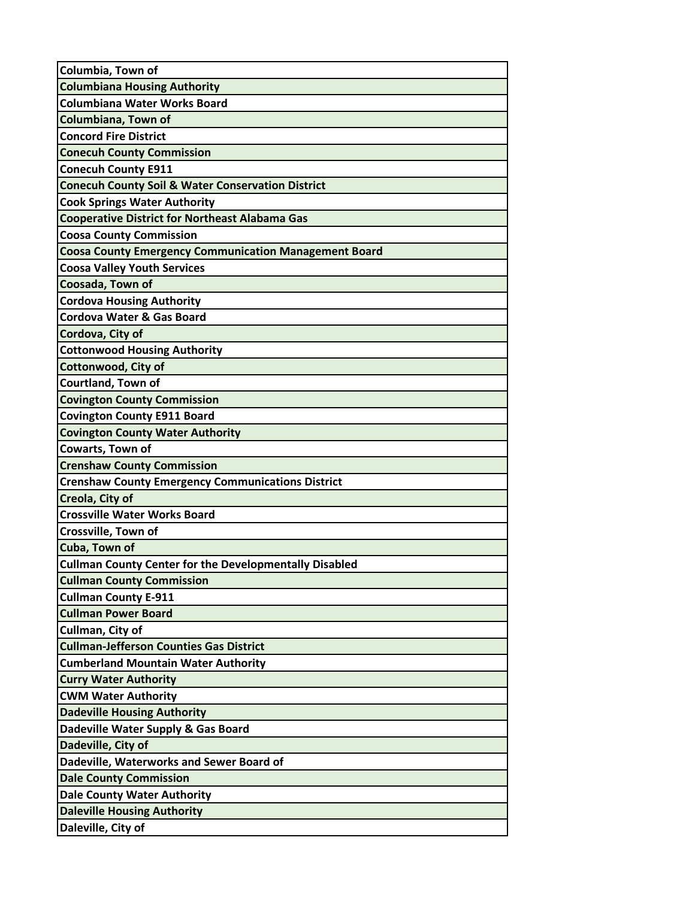| Columbia, Town of                                             |
|---------------------------------------------------------------|
| <b>Columbiana Housing Authority</b>                           |
| <b>Columbiana Water Works Board</b>                           |
| Columbiana, Town of                                           |
| <b>Concord Fire District</b>                                  |
| <b>Conecuh County Commission</b>                              |
| <b>Conecuh County E911</b>                                    |
| <b>Conecuh County Soil &amp; Water Conservation District</b>  |
| <b>Cook Springs Water Authority</b>                           |
| <b>Cooperative District for Northeast Alabama Gas</b>         |
| <b>Coosa County Commission</b>                                |
| <b>Coosa County Emergency Communication Management Board</b>  |
| <b>Coosa Valley Youth Services</b>                            |
| Coosada, Town of                                              |
| <b>Cordova Housing Authority</b>                              |
| <b>Cordova Water &amp; Gas Board</b>                          |
| Cordova, City of                                              |
| <b>Cottonwood Housing Authority</b>                           |
| <b>Cottonwood, City of</b>                                    |
| <b>Courtland, Town of</b>                                     |
| <b>Covington County Commission</b>                            |
| <b>Covington County E911 Board</b>                            |
| <b>Covington County Water Authority</b>                       |
| Cowarts, Town of                                              |
| <b>Crenshaw County Commission</b>                             |
| <b>Crenshaw County Emergency Communications District</b>      |
| Creola, City of                                               |
| <b>Crossville Water Works Board</b>                           |
| Crossville, Town of                                           |
| Cuba, Town of                                                 |
| <b>Cullman County Center for the Developmentally Disabled</b> |
| <b>Cullman County Commission</b>                              |
| <b>Cullman County E-911</b>                                   |
| <b>Cullman Power Board</b>                                    |
| Cullman, City of                                              |
| <b>Cullman-Jefferson Counties Gas District</b>                |
| <b>Cumberland Mountain Water Authority</b>                    |
| <b>Curry Water Authority</b>                                  |
| <b>CWM Water Authority</b>                                    |
| <b>Dadeville Housing Authority</b>                            |
| Dadeville Water Supply & Gas Board                            |
| Dadeville, City of                                            |
| Dadeville, Waterworks and Sewer Board of                      |
| <b>Dale County Commission</b>                                 |
| <b>Dale County Water Authority</b>                            |
| <b>Daleville Housing Authority</b>                            |
| Daleville, City of                                            |
|                                                               |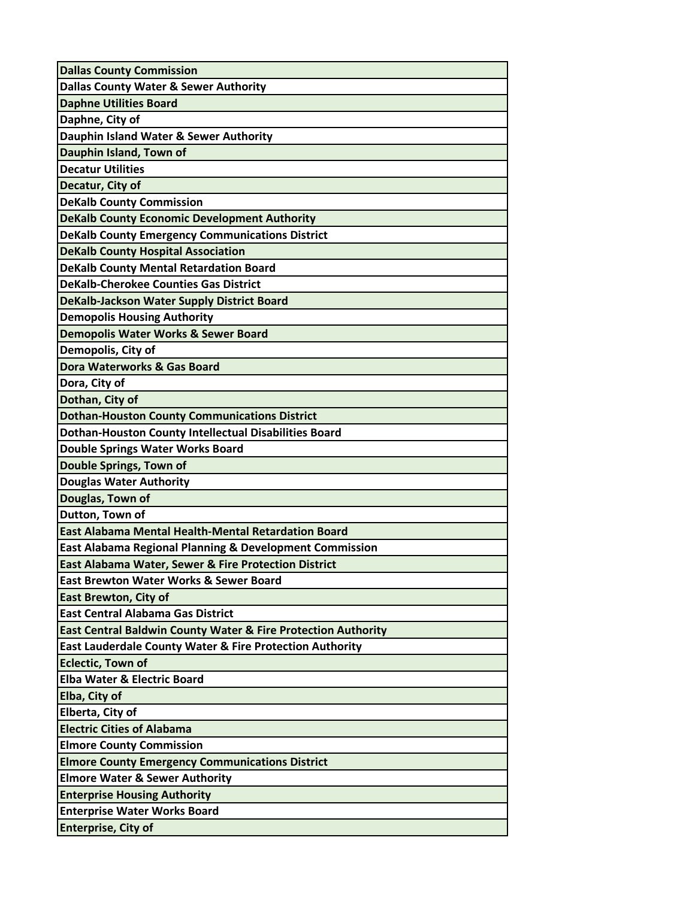| <b>Dallas County Commission</b>                                          |
|--------------------------------------------------------------------------|
| <b>Dallas County Water &amp; Sewer Authority</b>                         |
| <b>Daphne Utilities Board</b>                                            |
| Daphne, City of                                                          |
| Dauphin Island Water & Sewer Authority                                   |
| Dauphin Island, Town of                                                  |
| <b>Decatur Utilities</b>                                                 |
| Decatur, City of                                                         |
| <b>DeKalb County Commission</b>                                          |
| <b>DeKalb County Economic Development Authority</b>                      |
| <b>DeKalb County Emergency Communications District</b>                   |
| <b>DeKalb County Hospital Association</b>                                |
| <b>DeKalb County Mental Retardation Board</b>                            |
| <b>DeKalb-Cherokee Counties Gas District</b>                             |
| DeKalb-Jackson Water Supply District Board                               |
| <b>Demopolis Housing Authority</b>                                       |
| Demopolis Water Works & Sewer Board                                      |
| Demopolis, City of                                                       |
| Dora Waterworks & Gas Board                                              |
| Dora, City of                                                            |
| Dothan, City of                                                          |
| <b>Dothan-Houston County Communications District</b>                     |
| <b>Dothan-Houston County Intellectual Disabilities Board</b>             |
| <b>Double Springs Water Works Board</b>                                  |
| <b>Double Springs, Town of</b>                                           |
| <b>Douglas Water Authority</b>                                           |
| Douglas, Town of                                                         |
| Dutton, Town of                                                          |
| East Alabama Mental Health-Mental Retardation Board                      |
| <b>East Alabama Regional Planning &amp; Development Commission</b>       |
| East Alabama Water, Sewer & Fire Protection District                     |
| <b>East Brewton Water Works &amp; Sewer Board</b>                        |
| <b>East Brewton, City of</b>                                             |
| <b>East Central Alabama Gas District</b>                                 |
| <b>East Central Baldwin County Water &amp; Fire Protection Authority</b> |
| <b>East Lauderdale County Water &amp; Fire Protection Authority</b>      |
| <b>Eclectic, Town of</b>                                                 |
| <b>Elba Water &amp; Electric Board</b>                                   |
| Elba, City of                                                            |
| Elberta, City of                                                         |
| <b>Electric Cities of Alabama</b>                                        |
| <b>Elmore County Commission</b>                                          |
| <b>Elmore County Emergency Communications District</b>                   |
| <b>Elmore Water &amp; Sewer Authority</b>                                |
| <b>Enterprise Housing Authority</b>                                      |
| <b>Enterprise Water Works Board</b>                                      |
| <b>Enterprise, City of</b>                                               |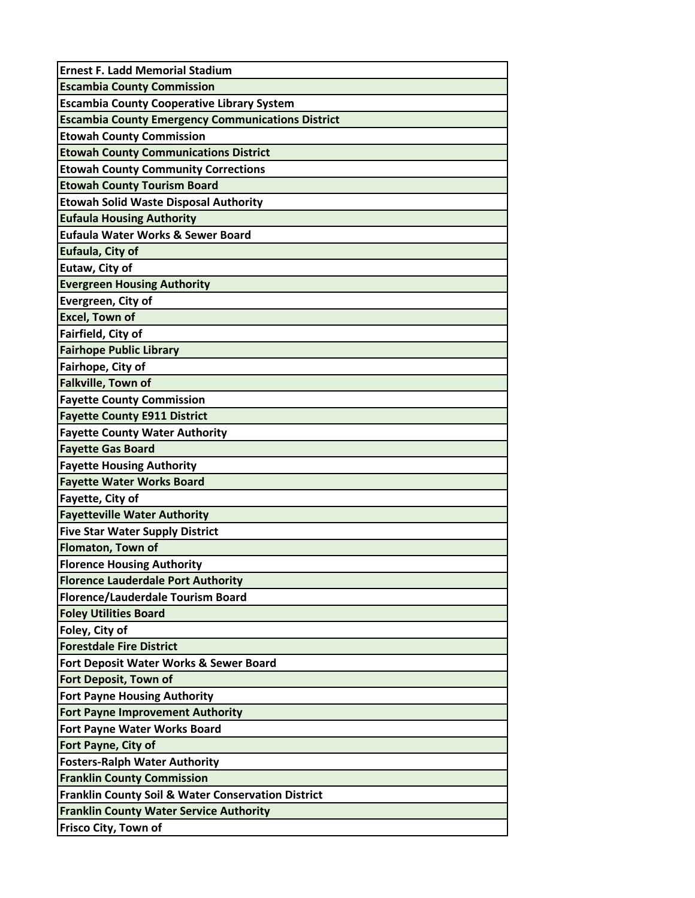| <b>Ernest F. Ladd Memorial Stadium</b>                        |
|---------------------------------------------------------------|
| <b>Escambia County Commission</b>                             |
| <b>Escambia County Cooperative Library System</b>             |
| <b>Escambia County Emergency Communications District</b>      |
| <b>Etowah County Commission</b>                               |
| <b>Etowah County Communications District</b>                  |
| <b>Etowah County Community Corrections</b>                    |
| <b>Etowah County Tourism Board</b>                            |
| <b>Etowah Solid Waste Disposal Authority</b>                  |
| <b>Eufaula Housing Authority</b>                              |
| Eufaula Water Works & Sewer Board                             |
| Eufaula, City of                                              |
| Eutaw, City of                                                |
| <b>Evergreen Housing Authority</b>                            |
| Evergreen, City of                                            |
| <b>Excel, Town of</b>                                         |
| Fairfield, City of                                            |
| <b>Fairhope Public Library</b>                                |
| Fairhope, City of                                             |
| <b>Falkville, Town of</b>                                     |
| <b>Fayette County Commission</b>                              |
| <b>Fayette County E911 District</b>                           |
| <b>Fayette County Water Authority</b>                         |
| <b>Fayette Gas Board</b>                                      |
| <b>Fayette Housing Authority</b>                              |
| <b>Fayette Water Works Board</b>                              |
| Fayette, City of                                              |
| <b>Fayetteville Water Authority</b>                           |
| <b>Five Star Water Supply District</b>                        |
| <b>Flomaton, Town of</b>                                      |
| <b>Florence Housing Authority</b>                             |
| <b>Florence Lauderdale Port Authority</b>                     |
| <b>Florence/Lauderdale Tourism Board</b>                      |
| <b>Foley Utilities Board</b>                                  |
| Foley, City of                                                |
| <b>Forestdale Fire District</b>                               |
| <b>Fort Deposit Water Works &amp; Sewer Board</b>             |
| <b>Fort Deposit, Town of</b>                                  |
| <b>Fort Payne Housing Authority</b>                           |
| <b>Fort Payne Improvement Authority</b>                       |
| <b>Fort Payne Water Works Board</b>                           |
| <b>Fort Payne, City of</b>                                    |
| <b>Fosters-Ralph Water Authority</b>                          |
| <b>Franklin County Commission</b>                             |
| <b>Franklin County Soil &amp; Water Conservation District</b> |
| <b>Franklin County Water Service Authority</b>                |
| Frisco City, Town of                                          |
|                                                               |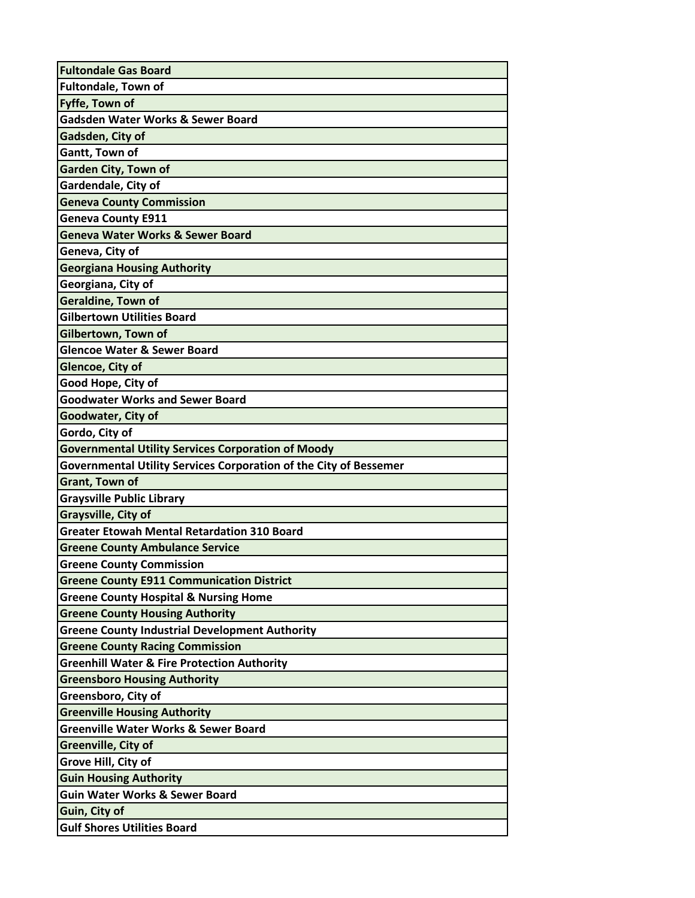| <b>Fultondale Gas Board</b>                                       |
|-------------------------------------------------------------------|
| <b>Fultondale, Town of</b>                                        |
| Fyffe, Town of                                                    |
| <b>Gadsden Water Works &amp; Sewer Board</b>                      |
| Gadsden, City of                                                  |
| Gantt, Town of                                                    |
| <b>Garden City, Town of</b>                                       |
| Gardendale, City of                                               |
| <b>Geneva County Commission</b>                                   |
| <b>Geneva County E911</b>                                         |
| <b>Geneva Water Works &amp; Sewer Board</b>                       |
| Geneva, City of                                                   |
| <b>Georgiana Housing Authority</b>                                |
| Georgiana, City of                                                |
| <b>Geraldine, Town of</b>                                         |
| <b>Gilbertown Utilities Board</b>                                 |
| Gilbertown, Town of                                               |
| <b>Glencoe Water &amp; Sewer Board</b>                            |
| Glencoe, City of                                                  |
| Good Hope, City of                                                |
| <b>Goodwater Works and Sewer Board</b>                            |
| Goodwater, City of                                                |
| Gordo, City of                                                    |
| <b>Governmental Utility Services Corporation of Moody</b>         |
|                                                                   |
| Governmental Utility Services Corporation of the City of Bessemer |
| <b>Grant, Town of</b>                                             |
| <b>Graysville Public Library</b>                                  |
| Graysville, City of                                               |
| <b>Greater Etowah Mental Retardation 310 Board</b>                |
| <b>Greene County Ambulance Service</b>                            |
| <b>Greene County Commission</b>                                   |
| <b>Greene County E911 Communication District</b>                  |
| <b>Greene County Hospital &amp; Nursing Home</b>                  |
| <b>Greene County Housing Authority</b>                            |
| <b>Greene County Industrial Development Authority</b>             |
| <b>Greene County Racing Commission</b>                            |
| <b>Greenhill Water &amp; Fire Protection Authority</b>            |
| <b>Greensboro Housing Authority</b>                               |
| Greensboro, City of                                               |
| <b>Greenville Housing Authority</b>                               |
| <b>Greenville Water Works &amp; Sewer Board</b>                   |
| Greenville, City of                                               |
| Grove Hill, City of                                               |
| <b>Guin Housing Authority</b>                                     |
| <b>Guin Water Works &amp; Sewer Board</b>                         |
| Guin, City of<br><b>Gulf Shores Utilities Board</b>               |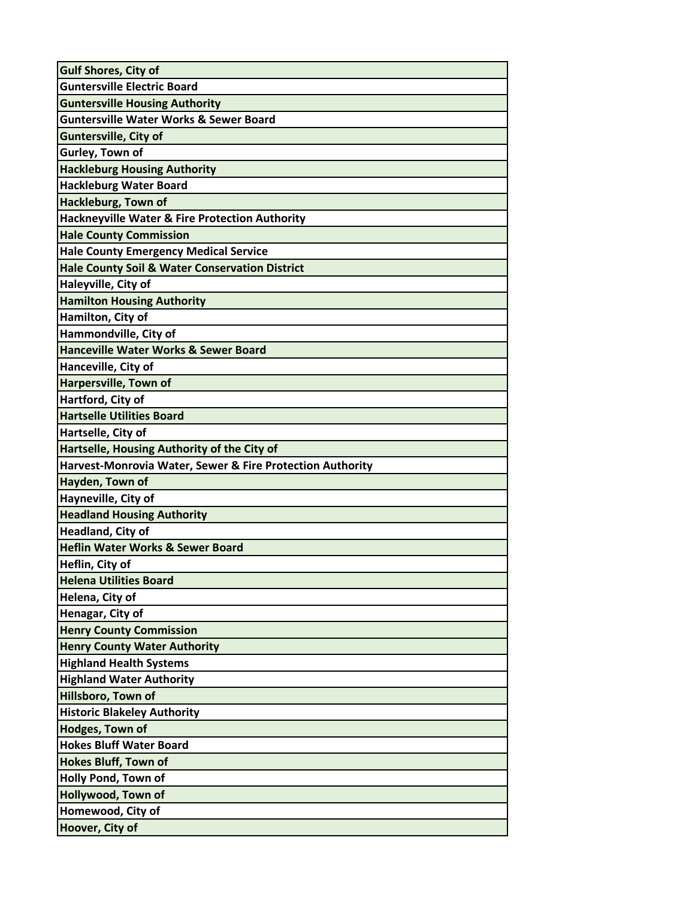| <b>Guntersville Electric Board</b><br><b>Guntersville Housing Authority</b><br><b>Guntersville Water Works &amp; Sewer Board</b><br><b>Guntersville, City of</b><br>Gurley, Town of<br><b>Hackleburg Housing Authority</b><br><b>Hackleburg Water Board</b><br><b>Hackleburg, Town of</b><br><b>Hackneyville Water &amp; Fire Protection Authority</b><br><b>Hale County Commission</b><br><b>Hale County Emergency Medical Service</b><br><b>Hale County Soil &amp; Water Conservation District</b><br>Haleyville, City of<br><b>Hamilton Housing Authority</b><br>Hamilton, City of<br>Hammondville, City of<br><b>Hanceville Water Works &amp; Sewer Board</b><br>Hanceville, City of<br>Harpersville, Town of<br>Hartford, City of<br><b>Hartselle Utilities Board</b><br>Hartselle, City of<br>Hartselle, Housing Authority of the City of<br>Harvest-Monrovia Water, Sewer & Fire Protection Authority<br>Hayden, Town of<br>Hayneville, City of<br><b>Headland Housing Authority</b><br><b>Headland, City of</b><br><b>Heflin Water Works &amp; Sewer Board</b><br>Heflin, City of<br><b>Helena Utilities Board</b><br>Helena, City of<br>Henagar, City of<br><b>Henry County Commission</b><br><b>Henry County Water Authority</b><br><b>Highland Health Systems</b><br><b>Highland Water Authority</b><br>Hillsboro, Town of<br><b>Historic Blakeley Authority</b><br><b>Hodges, Town of</b><br><b>Hokes Bluff Water Board</b><br><b>Hokes Bluff, Town of</b><br><b>Holly Pond, Town of</b><br>Hollywood, Town of<br>Homewood, City of<br>Hoover, City of | <b>Gulf Shores, City of</b> |
|--------------------------------------------------------------------------------------------------------------------------------------------------------------------------------------------------------------------------------------------------------------------------------------------------------------------------------------------------------------------------------------------------------------------------------------------------------------------------------------------------------------------------------------------------------------------------------------------------------------------------------------------------------------------------------------------------------------------------------------------------------------------------------------------------------------------------------------------------------------------------------------------------------------------------------------------------------------------------------------------------------------------------------------------------------------------------------------------------------------------------------------------------------------------------------------------------------------------------------------------------------------------------------------------------------------------------------------------------------------------------------------------------------------------------------------------------------------------------------------------------------------------------------------------------------------------|-----------------------------|
|                                                                                                                                                                                                                                                                                                                                                                                                                                                                                                                                                                                                                                                                                                                                                                                                                                                                                                                                                                                                                                                                                                                                                                                                                                                                                                                                                                                                                                                                                                                                                                    |                             |
|                                                                                                                                                                                                                                                                                                                                                                                                                                                                                                                                                                                                                                                                                                                                                                                                                                                                                                                                                                                                                                                                                                                                                                                                                                                                                                                                                                                                                                                                                                                                                                    |                             |
|                                                                                                                                                                                                                                                                                                                                                                                                                                                                                                                                                                                                                                                                                                                                                                                                                                                                                                                                                                                                                                                                                                                                                                                                                                                                                                                                                                                                                                                                                                                                                                    |                             |
|                                                                                                                                                                                                                                                                                                                                                                                                                                                                                                                                                                                                                                                                                                                                                                                                                                                                                                                                                                                                                                                                                                                                                                                                                                                                                                                                                                                                                                                                                                                                                                    |                             |
|                                                                                                                                                                                                                                                                                                                                                                                                                                                                                                                                                                                                                                                                                                                                                                                                                                                                                                                                                                                                                                                                                                                                                                                                                                                                                                                                                                                                                                                                                                                                                                    |                             |
|                                                                                                                                                                                                                                                                                                                                                                                                                                                                                                                                                                                                                                                                                                                                                                                                                                                                                                                                                                                                                                                                                                                                                                                                                                                                                                                                                                                                                                                                                                                                                                    |                             |
|                                                                                                                                                                                                                                                                                                                                                                                                                                                                                                                                                                                                                                                                                                                                                                                                                                                                                                                                                                                                                                                                                                                                                                                                                                                                                                                                                                                                                                                                                                                                                                    |                             |
|                                                                                                                                                                                                                                                                                                                                                                                                                                                                                                                                                                                                                                                                                                                                                                                                                                                                                                                                                                                                                                                                                                                                                                                                                                                                                                                                                                                                                                                                                                                                                                    |                             |
|                                                                                                                                                                                                                                                                                                                                                                                                                                                                                                                                                                                                                                                                                                                                                                                                                                                                                                                                                                                                                                                                                                                                                                                                                                                                                                                                                                                                                                                                                                                                                                    |                             |
|                                                                                                                                                                                                                                                                                                                                                                                                                                                                                                                                                                                                                                                                                                                                                                                                                                                                                                                                                                                                                                                                                                                                                                                                                                                                                                                                                                                                                                                                                                                                                                    |                             |
|                                                                                                                                                                                                                                                                                                                                                                                                                                                                                                                                                                                                                                                                                                                                                                                                                                                                                                                                                                                                                                                                                                                                                                                                                                                                                                                                                                                                                                                                                                                                                                    |                             |
|                                                                                                                                                                                                                                                                                                                                                                                                                                                                                                                                                                                                                                                                                                                                                                                                                                                                                                                                                                                                                                                                                                                                                                                                                                                                                                                                                                                                                                                                                                                                                                    |                             |
|                                                                                                                                                                                                                                                                                                                                                                                                                                                                                                                                                                                                                                                                                                                                                                                                                                                                                                                                                                                                                                                                                                                                                                                                                                                                                                                                                                                                                                                                                                                                                                    |                             |
|                                                                                                                                                                                                                                                                                                                                                                                                                                                                                                                                                                                                                                                                                                                                                                                                                                                                                                                                                                                                                                                                                                                                                                                                                                                                                                                                                                                                                                                                                                                                                                    |                             |
|                                                                                                                                                                                                                                                                                                                                                                                                                                                                                                                                                                                                                                                                                                                                                                                                                                                                                                                                                                                                                                                                                                                                                                                                                                                                                                                                                                                                                                                                                                                                                                    |                             |
|                                                                                                                                                                                                                                                                                                                                                                                                                                                                                                                                                                                                                                                                                                                                                                                                                                                                                                                                                                                                                                                                                                                                                                                                                                                                                                                                                                                                                                                                                                                                                                    |                             |
|                                                                                                                                                                                                                                                                                                                                                                                                                                                                                                                                                                                                                                                                                                                                                                                                                                                                                                                                                                                                                                                                                                                                                                                                                                                                                                                                                                                                                                                                                                                                                                    |                             |
|                                                                                                                                                                                                                                                                                                                                                                                                                                                                                                                                                                                                                                                                                                                                                                                                                                                                                                                                                                                                                                                                                                                                                                                                                                                                                                                                                                                                                                                                                                                                                                    |                             |
|                                                                                                                                                                                                                                                                                                                                                                                                                                                                                                                                                                                                                                                                                                                                                                                                                                                                                                                                                                                                                                                                                                                                                                                                                                                                                                                                                                                                                                                                                                                                                                    |                             |
|                                                                                                                                                                                                                                                                                                                                                                                                                                                                                                                                                                                                                                                                                                                                                                                                                                                                                                                                                                                                                                                                                                                                                                                                                                                                                                                                                                                                                                                                                                                                                                    |                             |
|                                                                                                                                                                                                                                                                                                                                                                                                                                                                                                                                                                                                                                                                                                                                                                                                                                                                                                                                                                                                                                                                                                                                                                                                                                                                                                                                                                                                                                                                                                                                                                    |                             |
|                                                                                                                                                                                                                                                                                                                                                                                                                                                                                                                                                                                                                                                                                                                                                                                                                                                                                                                                                                                                                                                                                                                                                                                                                                                                                                                                                                                                                                                                                                                                                                    |                             |
|                                                                                                                                                                                                                                                                                                                                                                                                                                                                                                                                                                                                                                                                                                                                                                                                                                                                                                                                                                                                                                                                                                                                                                                                                                                                                                                                                                                                                                                                                                                                                                    |                             |
|                                                                                                                                                                                                                                                                                                                                                                                                                                                                                                                                                                                                                                                                                                                                                                                                                                                                                                                                                                                                                                                                                                                                                                                                                                                                                                                                                                                                                                                                                                                                                                    |                             |
|                                                                                                                                                                                                                                                                                                                                                                                                                                                                                                                                                                                                                                                                                                                                                                                                                                                                                                                                                                                                                                                                                                                                                                                                                                                                                                                                                                                                                                                                                                                                                                    |                             |
|                                                                                                                                                                                                                                                                                                                                                                                                                                                                                                                                                                                                                                                                                                                                                                                                                                                                                                                                                                                                                                                                                                                                                                                                                                                                                                                                                                                                                                                                                                                                                                    |                             |
|                                                                                                                                                                                                                                                                                                                                                                                                                                                                                                                                                                                                                                                                                                                                                                                                                                                                                                                                                                                                                                                                                                                                                                                                                                                                                                                                                                                                                                                                                                                                                                    |                             |
|                                                                                                                                                                                                                                                                                                                                                                                                                                                                                                                                                                                                                                                                                                                                                                                                                                                                                                                                                                                                                                                                                                                                                                                                                                                                                                                                                                                                                                                                                                                                                                    |                             |
|                                                                                                                                                                                                                                                                                                                                                                                                                                                                                                                                                                                                                                                                                                                                                                                                                                                                                                                                                                                                                                                                                                                                                                                                                                                                                                                                                                                                                                                                                                                                                                    |                             |
|                                                                                                                                                                                                                                                                                                                                                                                                                                                                                                                                                                                                                                                                                                                                                                                                                                                                                                                                                                                                                                                                                                                                                                                                                                                                                                                                                                                                                                                                                                                                                                    |                             |
|                                                                                                                                                                                                                                                                                                                                                                                                                                                                                                                                                                                                                                                                                                                                                                                                                                                                                                                                                                                                                                                                                                                                                                                                                                                                                                                                                                                                                                                                                                                                                                    |                             |
|                                                                                                                                                                                                                                                                                                                                                                                                                                                                                                                                                                                                                                                                                                                                                                                                                                                                                                                                                                                                                                                                                                                                                                                                                                                                                                                                                                                                                                                                                                                                                                    |                             |
|                                                                                                                                                                                                                                                                                                                                                                                                                                                                                                                                                                                                                                                                                                                                                                                                                                                                                                                                                                                                                                                                                                                                                                                                                                                                                                                                                                                                                                                                                                                                                                    |                             |
|                                                                                                                                                                                                                                                                                                                                                                                                                                                                                                                                                                                                                                                                                                                                                                                                                                                                                                                                                                                                                                                                                                                                                                                                                                                                                                                                                                                                                                                                                                                                                                    |                             |
|                                                                                                                                                                                                                                                                                                                                                                                                                                                                                                                                                                                                                                                                                                                                                                                                                                                                                                                                                                                                                                                                                                                                                                                                                                                                                                                                                                                                                                                                                                                                                                    |                             |
|                                                                                                                                                                                                                                                                                                                                                                                                                                                                                                                                                                                                                                                                                                                                                                                                                                                                                                                                                                                                                                                                                                                                                                                                                                                                                                                                                                                                                                                                                                                                                                    |                             |
|                                                                                                                                                                                                                                                                                                                                                                                                                                                                                                                                                                                                                                                                                                                                                                                                                                                                                                                                                                                                                                                                                                                                                                                                                                                                                                                                                                                                                                                                                                                                                                    |                             |
|                                                                                                                                                                                                                                                                                                                                                                                                                                                                                                                                                                                                                                                                                                                                                                                                                                                                                                                                                                                                                                                                                                                                                                                                                                                                                                                                                                                                                                                                                                                                                                    |                             |
|                                                                                                                                                                                                                                                                                                                                                                                                                                                                                                                                                                                                                                                                                                                                                                                                                                                                                                                                                                                                                                                                                                                                                                                                                                                                                                                                                                                                                                                                                                                                                                    |                             |
|                                                                                                                                                                                                                                                                                                                                                                                                                                                                                                                                                                                                                                                                                                                                                                                                                                                                                                                                                                                                                                                                                                                                                                                                                                                                                                                                                                                                                                                                                                                                                                    |                             |
|                                                                                                                                                                                                                                                                                                                                                                                                                                                                                                                                                                                                                                                                                                                                                                                                                                                                                                                                                                                                                                                                                                                                                                                                                                                                                                                                                                                                                                                                                                                                                                    |                             |
|                                                                                                                                                                                                                                                                                                                                                                                                                                                                                                                                                                                                                                                                                                                                                                                                                                                                                                                                                                                                                                                                                                                                                                                                                                                                                                                                                                                                                                                                                                                                                                    |                             |
|                                                                                                                                                                                                                                                                                                                                                                                                                                                                                                                                                                                                                                                                                                                                                                                                                                                                                                                                                                                                                                                                                                                                                                                                                                                                                                                                                                                                                                                                                                                                                                    |                             |
|                                                                                                                                                                                                                                                                                                                                                                                                                                                                                                                                                                                                                                                                                                                                                                                                                                                                                                                                                                                                                                                                                                                                                                                                                                                                                                                                                                                                                                                                                                                                                                    |                             |
|                                                                                                                                                                                                                                                                                                                                                                                                                                                                                                                                                                                                                                                                                                                                                                                                                                                                                                                                                                                                                                                                                                                                                                                                                                                                                                                                                                                                                                                                                                                                                                    |                             |
|                                                                                                                                                                                                                                                                                                                                                                                                                                                                                                                                                                                                                                                                                                                                                                                                                                                                                                                                                                                                                                                                                                                                                                                                                                                                                                                                                                                                                                                                                                                                                                    |                             |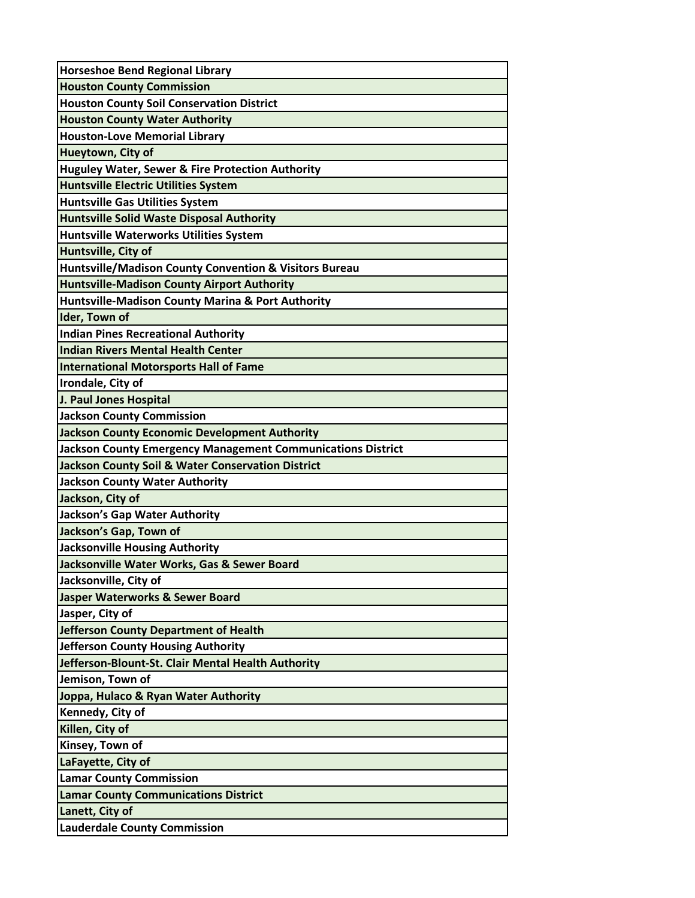| <b>Horseshoe Bend Regional Library</b>                             |
|--------------------------------------------------------------------|
| <b>Houston County Commission</b>                                   |
| <b>Houston County Soil Conservation District</b>                   |
| <b>Houston County Water Authority</b>                              |
| <b>Houston-Love Memorial Library</b>                               |
| Hueytown, City of                                                  |
| <b>Huguley Water, Sewer &amp; Fire Protection Authority</b>        |
| <b>Huntsville Electric Utilities System</b>                        |
| Huntsville Gas Utilities System                                    |
| Huntsville Solid Waste Disposal Authority                          |
| Huntsville Waterworks Utilities System                             |
| Huntsville, City of                                                |
| <b>Huntsville/Madison County Convention &amp; Visitors Bureau</b>  |
| <b>Huntsville-Madison County Airport Authority</b>                 |
| Huntsville-Madison County Marina & Port Authority                  |
| Ider, Town of                                                      |
| Indian Pines Recreational Authority                                |
| Indian Rivers Mental Health Center                                 |
| <b>International Motorsports Hall of Fame</b>                      |
| Irondale, City of                                                  |
| J. Paul Jones Hospital                                             |
| <b>Jackson County Commission</b>                                   |
| Jackson County Economic Development Authority                      |
| <b>Jackson County Emergency Management Communications District</b> |
| Jackson County Soil & Water Conservation District                  |
| <b>Jackson County Water Authority</b>                              |
| Jackson, City of                                                   |
| Jackson's Gap Water Authority                                      |
| Jackson's Gap, Town of                                             |
| Jacksonville Housing Authority                                     |
| Jacksonville Water Works, Gas & Sewer Board                        |
| Jacksonville, City of                                              |
| Jasper Waterworks & Sewer Board                                    |
| Jasper, City of                                                    |
| Jefferson County Department of Health                              |
| Jefferson County Housing Authority                                 |
| Jefferson-Blount-St. Clair Mental Health Authority                 |
| Jemison, Town of                                                   |
| Joppa, Hulaco & Ryan Water Authority                               |
| Kennedy, City of                                                   |
| Killen, City of                                                    |
| Kinsey, Town of                                                    |
| LaFayette, City of                                                 |
| <b>Lamar County Commission</b>                                     |
| <b>Lamar County Communications District</b>                        |
| Lanett, City of                                                    |
| <b>Lauderdale County Commission</b>                                |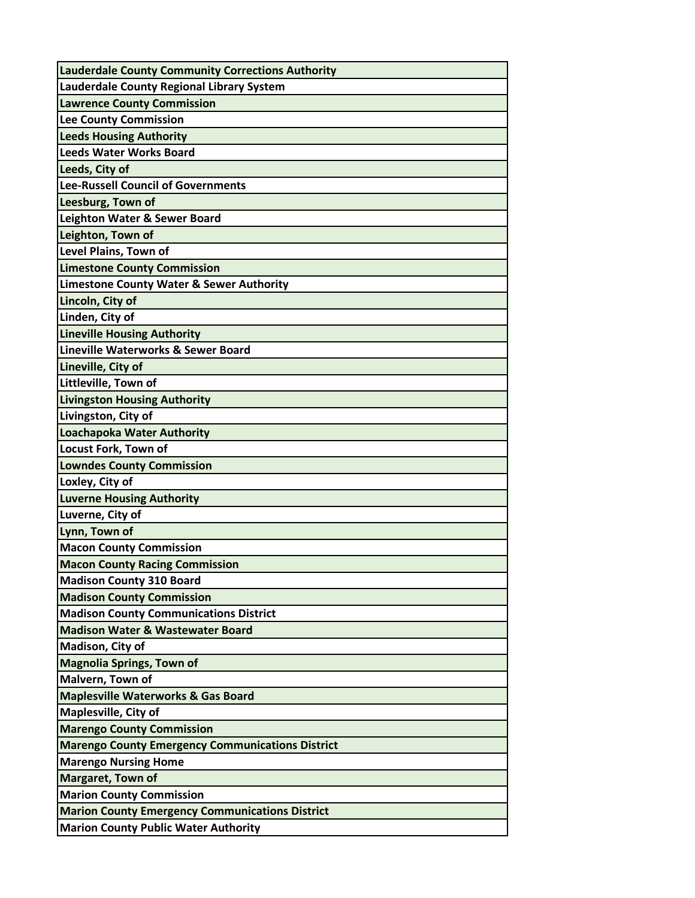| <b>Lauderdale County Community Corrections Authority</b> |
|----------------------------------------------------------|
| Lauderdale County Regional Library System                |
| <b>Lawrence County Commission</b>                        |
| Lee County Commission                                    |
| <b>Leeds Housing Authority</b>                           |
| <b>Leeds Water Works Board</b>                           |
| Leeds, City of                                           |
| Lee-Russell Council of Governments                       |
| Leesburg, Town of                                        |
| Leighton Water & Sewer Board                             |
| Leighton, Town of                                        |
| Level Plains, Town of                                    |
| <b>Limestone County Commission</b>                       |
| <b>Limestone County Water &amp; Sewer Authority</b>      |
| Lincoln, City of                                         |
| Linden, City of                                          |
| <b>Lineville Housing Authority</b>                       |
| Lineville Waterworks & Sewer Board                       |
| Lineville, City of                                       |
| Littleville, Town of                                     |
| <b>Livingston Housing Authority</b>                      |
| Livingston, City of                                      |
| Loachapoka Water Authority                               |
| <b>Locust Fork, Town of</b>                              |
| <b>Lowndes County Commission</b>                         |
| Loxley, City of                                          |
| <b>Luverne Housing Authority</b>                         |
| Luverne, City of                                         |
| Lynn, Town of                                            |
| <b>Macon County Commission</b>                           |
| <b>Macon County Racing Commission</b>                    |
| <b>Madison County 310 Board</b>                          |
| <b>Madison County Commission</b>                         |
| <b>Madison County Communications District</b>            |
| <b>Madison Water &amp; Wastewater Board</b>              |
| Madison, City of                                         |
| <b>Magnolia Springs, Town of</b>                         |
| Malvern, Town of                                         |
| <b>Maplesville Waterworks &amp; Gas Board</b>            |
| <b>Maplesville, City of</b>                              |
| <b>Marengo County Commission</b>                         |
| <b>Marengo County Emergency Communications District</b>  |
| <b>Marengo Nursing Home</b>                              |
| Margaret, Town of                                        |
| <b>Marion County Commission</b>                          |
| <b>Marion County Emergency Communications District</b>   |
| <b>Marion County Public Water Authority</b>              |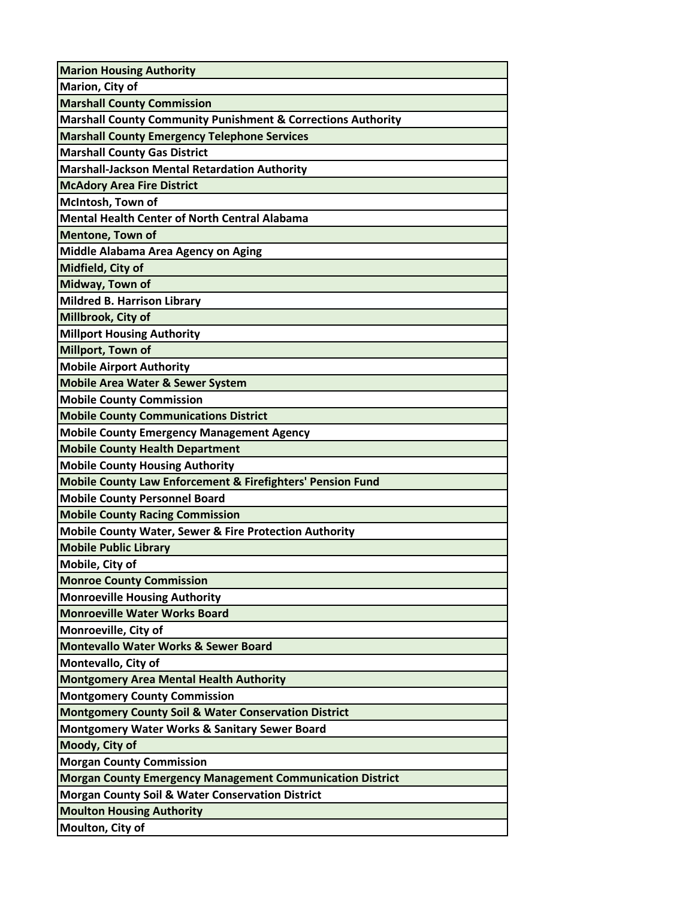| <b>Marion Housing Authority</b>                                         |
|-------------------------------------------------------------------------|
| Marion, City of                                                         |
| <b>Marshall County Commission</b>                                       |
| <b>Marshall County Community Punishment &amp; Corrections Authority</b> |
| <b>Marshall County Emergency Telephone Services</b>                     |
| <b>Marshall County Gas District</b>                                     |
| <b>Marshall-Jackson Mental Retardation Authority</b>                    |
| <b>McAdory Area Fire District</b>                                       |
| McIntosh, Town of                                                       |
| <b>Mental Health Center of North Central Alabama</b>                    |
| <b>Mentone, Town of</b>                                                 |
| Middle Alabama Area Agency on Aging                                     |
| Midfield, City of                                                       |
| Midway, Town of                                                         |
| <b>Mildred B. Harrison Library</b>                                      |
| Millbrook, City of                                                      |
| <b>Millport Housing Authority</b>                                       |
| Millport, Town of                                                       |
| <b>Mobile Airport Authority</b>                                         |
| <b>Mobile Area Water &amp; Sewer System</b>                             |
| <b>Mobile County Commission</b>                                         |
| <b>Mobile County Communications District</b>                            |
| <b>Mobile County Emergency Management Agency</b>                        |
| <b>Mobile County Health Department</b>                                  |
| <b>Mobile County Housing Authority</b>                                  |
| Mobile County Law Enforcement & Firefighters' Pension Fund              |
| <b>Mobile County Personnel Board</b>                                    |
| <b>Mobile County Racing Commission</b>                                  |
| <b>Mobile County Water, Sewer &amp; Fire Protection Authority</b>       |
| <b>Mobile Public Library</b>                                            |
| Mobile, City of                                                         |
| <b>Monroe County Commission</b>                                         |
| <b>Monroeville Housing Authority</b>                                    |
| <b>Monroeville Water Works Board</b>                                    |
| Monroeville, City of                                                    |
| <b>Montevallo Water Works &amp; Sewer Board</b>                         |
| Montevallo, City of                                                     |
| <b>Montgomery Area Mental Health Authority</b>                          |
| <b>Montgomery County Commission</b>                                     |
| <b>Montgomery County Soil &amp; Water Conservation District</b>         |
| <b>Montgomery Water Works &amp; Sanitary Sewer Board</b>                |
| Moody, City of                                                          |
| <b>Morgan County Commission</b>                                         |
| <b>Morgan County Emergency Management Communication District</b>        |
| <b>Morgan County Soil &amp; Water Conservation District</b>             |
| <b>Moulton Housing Authority</b>                                        |
| Moulton, City of                                                        |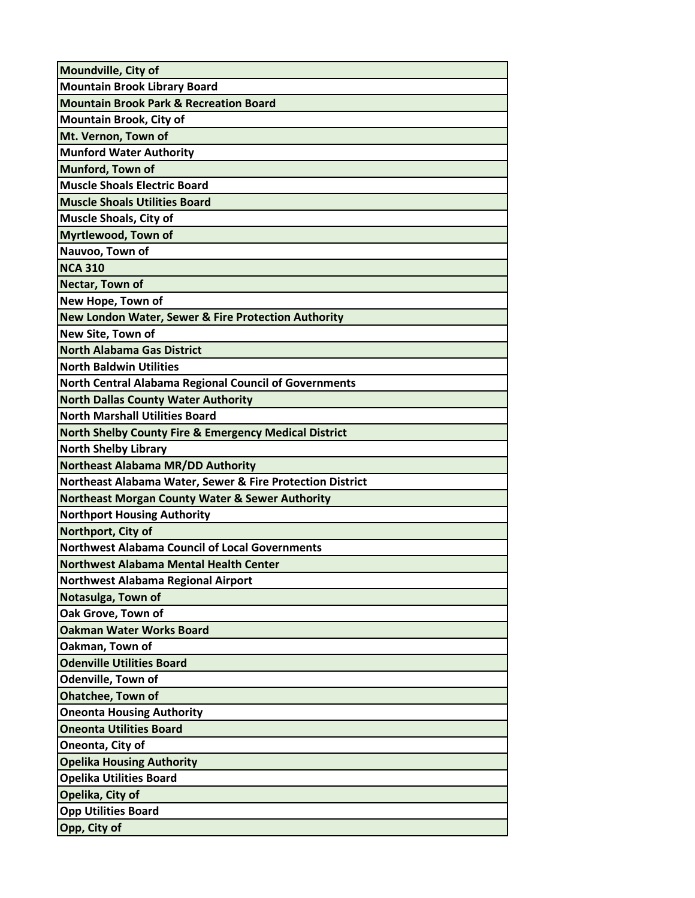| Moundville, City of                                              |
|------------------------------------------------------------------|
| <b>Mountain Brook Library Board</b>                              |
| <b>Mountain Brook Park &amp; Recreation Board</b>                |
| Mountain Brook, City of                                          |
| Mt. Vernon, Town of                                              |
| <b>Munford Water Authority</b>                                   |
| Munford, Town of                                                 |
| <b>Muscle Shoals Electric Board</b>                              |
| <b>Muscle Shoals Utilities Board</b>                             |
| <b>Muscle Shoals, City of</b>                                    |
| Myrtlewood, Town of                                              |
| Nauvoo, Town of                                                  |
| <b>NCA 310</b>                                                   |
| Nectar, Town of                                                  |
| New Hope, Town of                                                |
| New London Water, Sewer & Fire Protection Authority              |
| New Site, Town of                                                |
| <b>North Alabama Gas District</b>                                |
| <b>North Baldwin Utilities</b>                                   |
| <b>North Central Alabama Regional Council of Governments</b>     |
| <b>North Dallas County Water Authority</b>                       |
| <b>North Marshall Utilities Board</b>                            |
| <b>North Shelby County Fire &amp; Emergency Medical District</b> |
| <b>North Shelby Library</b>                                      |
| <b>Northeast Alabama MR/DD Authority</b>                         |
| Northeast Alabama Water, Sewer & Fire Protection District        |
| <b>Northeast Morgan County Water &amp; Sewer Authority</b>       |
| <b>Northport Housing Authority</b>                               |
| Northport, City of                                               |
| <b>Northwest Alabama Council of Local Governments</b>            |
| <b>Northwest Alabama Mental Health Center</b>                    |
| <b>Northwest Alabama Regional Airport</b>                        |
| Notasulga, Town of                                               |
| Oak Grove, Town of                                               |
| <b>Oakman Water Works Board</b>                                  |
| Oakman, Town of                                                  |
| <b>Odenville Utilities Board</b>                                 |
| Odenville, Town of                                               |
| <b>Ohatchee, Town of</b>                                         |
| <b>Oneonta Housing Authority</b>                                 |
| <b>Oneonta Utilities Board</b>                                   |
| Oneonta, City of                                                 |
| <b>Opelika Housing Authority</b>                                 |
| <b>Opelika Utilities Board</b>                                   |
| Opelika, City of                                                 |
| <b>Opp Utilities Board</b>                                       |
| Opp, City of                                                     |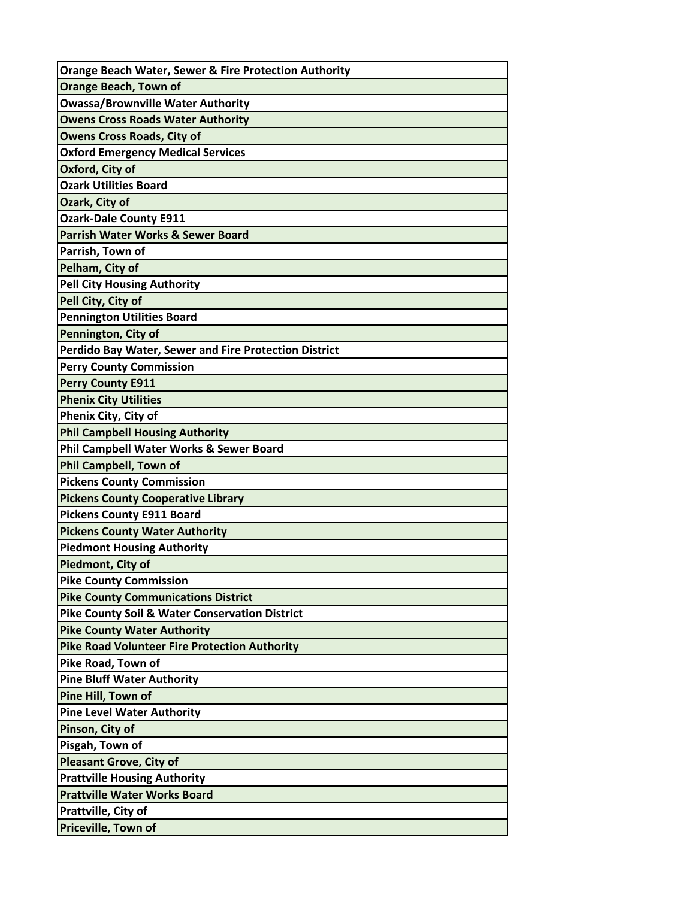| <b>Orange Beach Water, Sewer &amp; Fire Protection Authority</b> |
|------------------------------------------------------------------|
| <b>Orange Beach, Town of</b>                                     |
| <b>Owassa/Brownville Water Authority</b>                         |
| <b>Owens Cross Roads Water Authority</b>                         |
| <b>Owens Cross Roads, City of</b>                                |
| <b>Oxford Emergency Medical Services</b>                         |
| Oxford, City of                                                  |
| <b>Ozark Utilities Board</b>                                     |
| Ozark, City of                                                   |
| <b>Ozark-Dale County E911</b>                                    |
| <b>Parrish Water Works &amp; Sewer Board</b>                     |
| Parrish, Town of                                                 |
| Pelham, City of                                                  |
| <b>Pell City Housing Authority</b>                               |
| Pell City, City of                                               |
| <b>Pennington Utilities Board</b>                                |
| Pennington, City of                                              |
| <b>Perdido Bay Water, Sewer and Fire Protection District</b>     |
| <b>Perry County Commission</b>                                   |
| <b>Perry County E911</b>                                         |
| <b>Phenix City Utilities</b>                                     |
| Phenix City, City of                                             |
| <b>Phil Campbell Housing Authority</b>                           |
| Phil Campbell Water Works & Sewer Board                          |
| <b>Phil Campbell, Town of</b>                                    |
| <b>Pickens County Commission</b>                                 |
| <b>Pickens County Cooperative Library</b>                        |
| <b>Pickens County E911 Board</b>                                 |
| <b>Pickens County Water Authority</b>                            |
| <b>Piedmont Housing Authority</b>                                |
| Piedmont, City of                                                |
| <b>Pike County Commission</b>                                    |
| <b>Pike County Communications District</b>                       |
| <b>Pike County Soil &amp; Water Conservation District</b>        |
| <b>Pike County Water Authority</b>                               |
| <b>Pike Road Volunteer Fire Protection Authority</b>             |
| Pike Road, Town of                                               |
| <b>Pine Bluff Water Authority</b>                                |
| Pine Hill, Town of                                               |
| <b>Pine Level Water Authority</b>                                |
| Pinson, City of                                                  |
| Pisgah, Town of                                                  |
| <b>Pleasant Grove, City of</b>                                   |
| <b>Prattville Housing Authority</b>                              |
| <b>Prattville Water Works Board</b>                              |
| Prattville, City of                                              |
| Priceville, Town of                                              |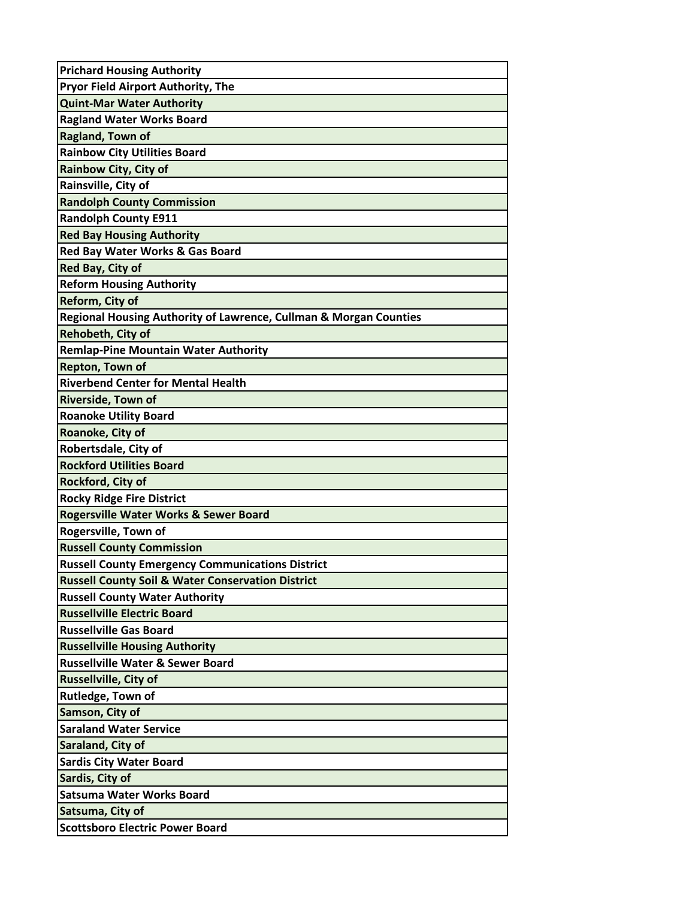| <b>Prichard Housing Authority</b>                                 |
|-------------------------------------------------------------------|
| Pryor Field Airport Authority, The                                |
| <b>Quint-Mar Water Authority</b>                                  |
| <b>Ragland Water Works Board</b>                                  |
| Ragland, Town of                                                  |
| <b>Rainbow City Utilities Board</b>                               |
| Rainbow City, City of                                             |
| Rainsville, City of                                               |
| <b>Randolph County Commission</b>                                 |
| <b>Randolph County E911</b>                                       |
| <b>Red Bay Housing Authority</b>                                  |
| Red Bay Water Works & Gas Board                                   |
| Red Bay, City of                                                  |
| <b>Reform Housing Authority</b>                                   |
| Reform, City of                                                   |
| Regional Housing Authority of Lawrence, Cullman & Morgan Counties |
| Rehobeth, City of                                                 |
| <b>Remlap-Pine Mountain Water Authority</b>                       |
| Repton, Town of                                                   |
| <b>Riverbend Center for Mental Health</b>                         |
| Riverside, Town of                                                |
| <b>Roanoke Utility Board</b>                                      |
| Roanoke, City of                                                  |
| Robertsdale, City of                                              |
| <b>Rockford Utilities Board</b>                                   |
| Rockford, City of                                                 |
| <b>Rocky Ridge Fire District</b>                                  |
| <b>Rogersville Water Works &amp; Sewer Board</b>                  |
| Rogersville, Town of                                              |
| <b>Russell County Commission</b>                                  |
| <b>Russell County Emergency Communications District</b>           |
| <b>Russell County Soil &amp; Water Conservation District</b>      |
| <b>Russell County Water Authority</b>                             |
| <b>Russellville Electric Board</b>                                |
| <b>Russellville Gas Board</b>                                     |
| <b>Russellville Housing Authority</b>                             |
| <b>Russellville Water &amp; Sewer Board</b>                       |
| <b>Russellville, City of</b>                                      |
| Rutledge, Town of                                                 |
| Samson, City of                                                   |
| <b>Saraland Water Service</b>                                     |
| Saraland, City of                                                 |
| <b>Sardis City Water Board</b>                                    |
| Sardis, City of                                                   |
| <b>Satsuma Water Works Board</b>                                  |
| Satsuma, City of                                                  |
| <b>Scottsboro Electric Power Board</b>                            |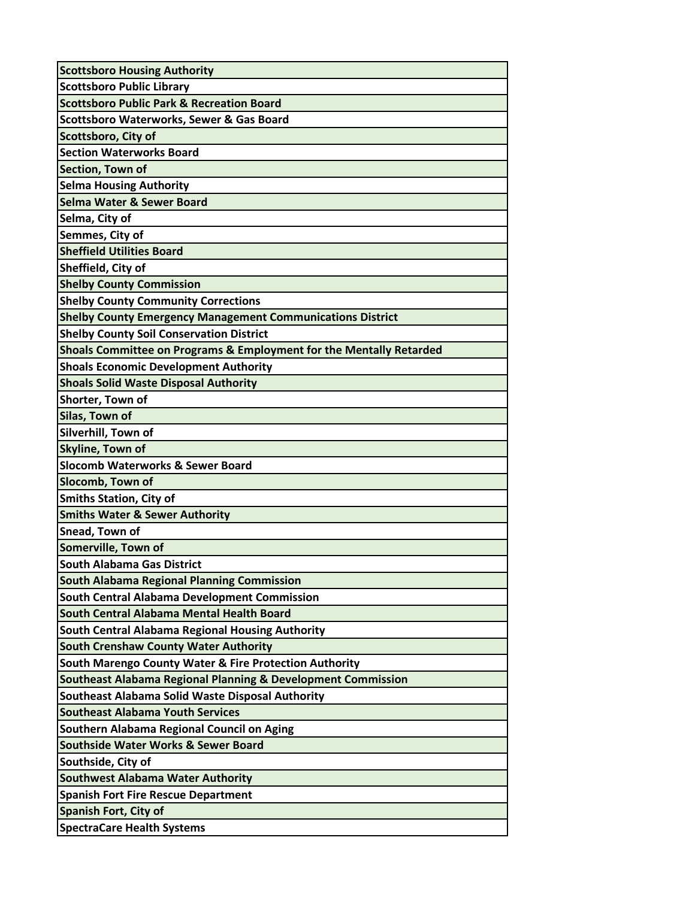| <b>Scottsboro Housing Authority</b>                                     |
|-------------------------------------------------------------------------|
| <b>Scottsboro Public Library</b>                                        |
| <b>Scottsboro Public Park &amp; Recreation Board</b>                    |
| Scottsboro Waterworks, Sewer & Gas Board                                |
| Scottsboro, City of                                                     |
| <b>Section Waterworks Board</b>                                         |
| Section, Town of                                                        |
| <b>Selma Housing Authority</b>                                          |
| <b>Selma Water &amp; Sewer Board</b>                                    |
| Selma, City of                                                          |
| Semmes, City of                                                         |
| <b>Sheffield Utilities Board</b>                                        |
| Sheffield, City of                                                      |
| <b>Shelby County Commission</b>                                         |
| <b>Shelby County Community Corrections</b>                              |
| <b>Shelby County Emergency Management Communications District</b>       |
| <b>Shelby County Soil Conservation District</b>                         |
| Shoals Committee on Programs & Employment for the Mentally Retarded     |
| <b>Shoals Economic Development Authority</b>                            |
| <b>Shoals Solid Waste Disposal Authority</b>                            |
| Shorter, Town of                                                        |
| Silas, Town of                                                          |
| Silverhill, Town of                                                     |
| Skyline, Town of                                                        |
| <b>Slocomb Waterworks &amp; Sewer Board</b>                             |
| Slocomb, Town of                                                        |
| <b>Smiths Station, City of</b>                                          |
| <b>Smiths Water &amp; Sewer Authority</b>                               |
| Snead, Town of                                                          |
| Somerville, Town of                                                     |
| <b>South Alabama Gas District</b>                                       |
| <b>South Alabama Regional Planning Commission</b>                       |
| South Central Alabama Development Commission                            |
| South Central Alabama Mental Health Board                               |
| South Central Alabama Regional Housing Authority                        |
| <b>South Crenshaw County Water Authority</b>                            |
| South Marengo County Water & Fire Protection Authority                  |
| <b>Southeast Alabama Regional Planning &amp; Development Commission</b> |
| Southeast Alabama Solid Waste Disposal Authority                        |
| <b>Southeast Alabama Youth Services</b>                                 |
| Southern Alabama Regional Council on Aging                              |
| <b>Southside Water Works &amp; Sewer Board</b>                          |
| Southside, City of                                                      |
| <b>Southwest Alabama Water Authority</b>                                |
| <b>Spanish Fort Fire Rescue Department</b>                              |
| <b>Spanish Fort, City of</b>                                            |
| <b>SpectraCare Health Systems</b>                                       |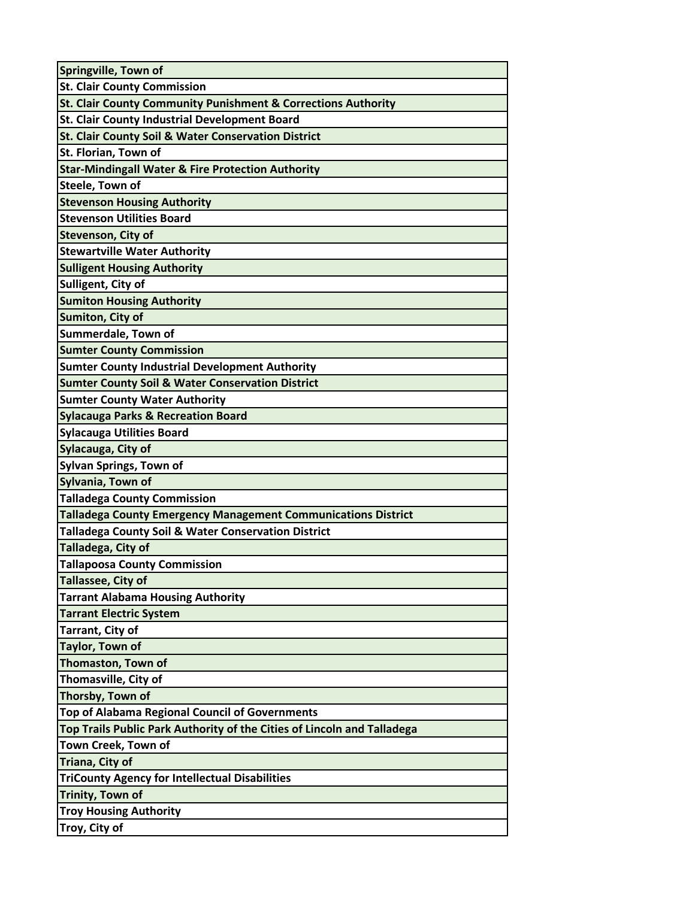| Springville, Town of                                                     |
|--------------------------------------------------------------------------|
| <b>St. Clair County Commission</b>                                       |
| <b>St. Clair County Community Punishment &amp; Corrections Authority</b> |
| St. Clair County Industrial Development Board                            |
| St. Clair County Soil & Water Conservation District                      |
| St. Florian, Town of                                                     |
| <b>Star-Mindingall Water &amp; Fire Protection Authority</b>             |
| Steele, Town of                                                          |
| <b>Stevenson Housing Authority</b>                                       |
| <b>Stevenson Utilities Board</b>                                         |
| Stevenson, City of                                                       |
| <b>Stewartville Water Authority</b>                                      |
| <b>Sulligent Housing Authority</b>                                       |
| Sulligent, City of                                                       |
| <b>Sumiton Housing Authority</b>                                         |
| Sumiton, City of                                                         |
| Summerdale, Town of                                                      |
| <b>Sumter County Commission</b>                                          |
| <b>Sumter County Industrial Development Authority</b>                    |
| <b>Sumter County Soil &amp; Water Conservation District</b>              |
| <b>Sumter County Water Authority</b>                                     |
| <b>Sylacauga Parks &amp; Recreation Board</b>                            |
| <b>Sylacauga Utilities Board</b>                                         |
| Sylacauga, City of                                                       |
| <b>Sylvan Springs, Town of</b>                                           |
| Sylvania, Town of                                                        |
| <b>Talladega County Commission</b>                                       |
| <b>Talladega County Emergency Management Communications District</b>     |
| <b>Talladega County Soil &amp; Water Conservation District</b>           |
| <b>Talladega, City of</b>                                                |
| <b>Tallapoosa County Commission</b>                                      |
| Tallassee, City of                                                       |
| <b>Tarrant Alabama Housing Authority</b>                                 |
| <b>Tarrant Electric System</b>                                           |
| Tarrant, City of                                                         |
| Taylor, Town of                                                          |
| Thomaston, Town of                                                       |
| Thomasville, City of                                                     |
| Thorsby, Town of                                                         |
| Top of Alabama Regional Council of Governments                           |
| Top Trails Public Park Authority of the Cities of Lincoln and Talladega  |
| Town Creek, Town of                                                      |
| Triana, City of                                                          |
| <b>TriCounty Agency for Intellectual Disabilities</b>                    |
| <b>Trinity, Town of</b>                                                  |
| <b>Troy Housing Authority</b>                                            |
| Troy, City of                                                            |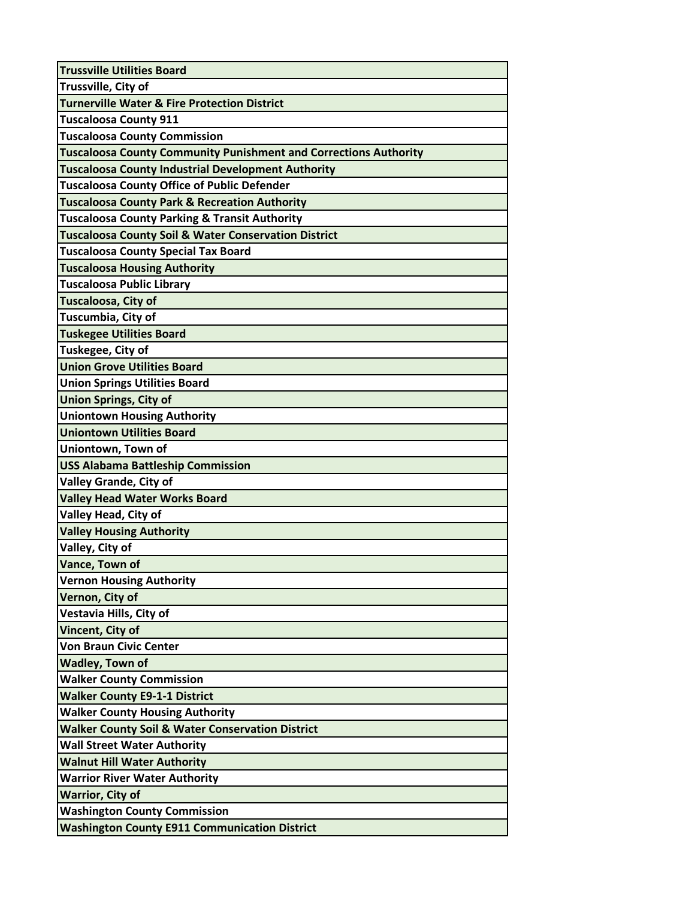| <b>Trussville Utilities Board</b>                                       |
|-------------------------------------------------------------------------|
| Trussville, City of                                                     |
| <b>Turnerville Water &amp; Fire Protection District</b>                 |
| <b>Tuscaloosa County 911</b>                                            |
| <b>Tuscaloosa County Commission</b>                                     |
| <b>Tuscaloosa County Community Punishment and Corrections Authority</b> |
| <b>Tuscaloosa County Industrial Development Authority</b>               |
| <b>Tuscaloosa County Office of Public Defender</b>                      |
| <b>Tuscaloosa County Park &amp; Recreation Authority</b>                |
| <b>Tuscaloosa County Parking &amp; Transit Authority</b>                |
| <b>Tuscaloosa County Soil &amp; Water Conservation District</b>         |
| <b>Tuscaloosa County Special Tax Board</b>                              |
| <b>Tuscaloosa Housing Authority</b>                                     |
| <b>Tuscaloosa Public Library</b>                                        |
| Tuscaloosa, City of                                                     |
| Tuscumbia, City of                                                      |
| <b>Tuskegee Utilities Board</b>                                         |
| Tuskegee, City of                                                       |
| <b>Union Grove Utilities Board</b>                                      |
| <b>Union Springs Utilities Board</b>                                    |
| <b>Union Springs, City of</b>                                           |
| <b>Uniontown Housing Authority</b>                                      |
| <b>Uniontown Utilities Board</b>                                        |
| Uniontown, Town of                                                      |
| <b>USS Alabama Battleship Commission</b>                                |
| <b>Valley Grande, City of</b>                                           |
| <b>Valley Head Water Works Board</b>                                    |
| <b>Valley Head, City of</b>                                             |
| <b>Valley Housing Authority</b>                                         |
| Valley, City of                                                         |
| Vance, Town of                                                          |
| <b>Vernon Housing Authority</b>                                         |
| Vernon, City of                                                         |
| Vestavia Hills, City of                                                 |
| <b>Vincent, City of</b>                                                 |
| <b>Von Braun Civic Center</b>                                           |
| <b>Wadley, Town of</b>                                                  |
| <b>Walker County Commission</b>                                         |
| <b>Walker County E9-1-1 District</b>                                    |
| <b>Walker County Housing Authority</b>                                  |
| <b>Walker County Soil &amp; Water Conservation District</b>             |
| <b>Wall Street Water Authority</b>                                      |
| <b>Walnut Hill Water Authority</b>                                      |
| <b>Warrior River Water Authority</b>                                    |
| <b>Warrior, City of</b>                                                 |
| <b>Washington County Commission</b>                                     |
| <b>Washington County E911 Communication District</b>                    |